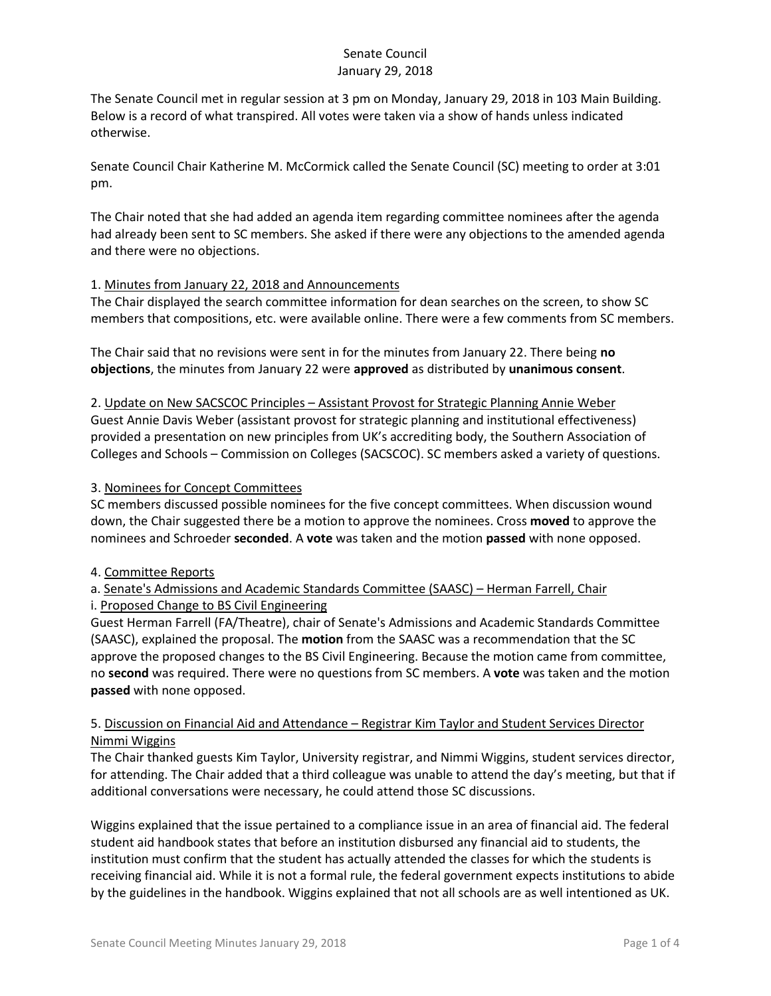The Senate Council met in regular session at 3 pm on Monday, January 29, 2018 in 103 Main Building. Below is a record of what transpired. All votes were taken via a show of hands unless indicated otherwise.

Senate Council Chair Katherine M. McCormick called the Senate Council (SC) meeting to order at 3:01 pm.

The Chair noted that she had added an agenda item regarding committee nominees after the agenda had already been sent to SC members. She asked if there were any objections to the amended agenda and there were no objections.

### 1. Minutes from January 22, 2018 and Announcements

The Chair displayed the search committee information for dean searches on the screen, to show SC members that compositions, etc. were available online. There were a few comments from SC members.

The Chair said that no revisions were sent in for the minutes from January 22. There being **no objections**, the minutes from January 22 were **approved** as distributed by **unanimous consent**.

2. Update on New SACSCOC Principles – Assistant Provost for Strategic Planning Annie Weber Guest Annie Davis Weber (assistant provost for strategic planning and institutional effectiveness) provided a presentation on new principles from UK's accrediting body, the Southern Association of Colleges and Schools – Commission on Colleges (SACSCOC). SC members asked a variety of questions.

### 3. Nominees for Concept Committees

SC members discussed possible nominees for the five concept committees. When discussion wound down, the Chair suggested there be a motion to approve the nominees. Cross **moved** to approve the nominees and Schroeder **seconded**. A **vote** was taken and the motion **passed** with none opposed.

#### 4. Committee Reports

# a. Senate's Admissions and Academic Standards Committee (SAASC) – Herman Farrell, Chair i. Proposed Change to BS Civil Engineering

Guest Herman Farrell (FA/Theatre), chair of Senate's Admissions and Academic Standards Committee (SAASC), explained the proposal. The **motion** from the SAASC was a recommendation that the SC approve the proposed changes to the BS Civil Engineering. Because the motion came from committee, no **second** was required. There were no questions from SC members. A **vote** was taken and the motion **passed** with none opposed.

# 5. Discussion on Financial Aid and Attendance – Registrar Kim Taylor and Student Services Director Nimmi Wiggins

The Chair thanked guests Kim Taylor, University registrar, and Nimmi Wiggins, student services director, for attending. The Chair added that a third colleague was unable to attend the day's meeting, but that if additional conversations were necessary, he could attend those SC discussions.

Wiggins explained that the issue pertained to a compliance issue in an area of financial aid. The federal student aid handbook states that before an institution disbursed any financial aid to students, the institution must confirm that the student has actually attended the classes for which the students is receiving financial aid. While it is not a formal rule, the federal government expects institutions to abide by the guidelines in the handbook. Wiggins explained that not all schools are as well intentioned as UK.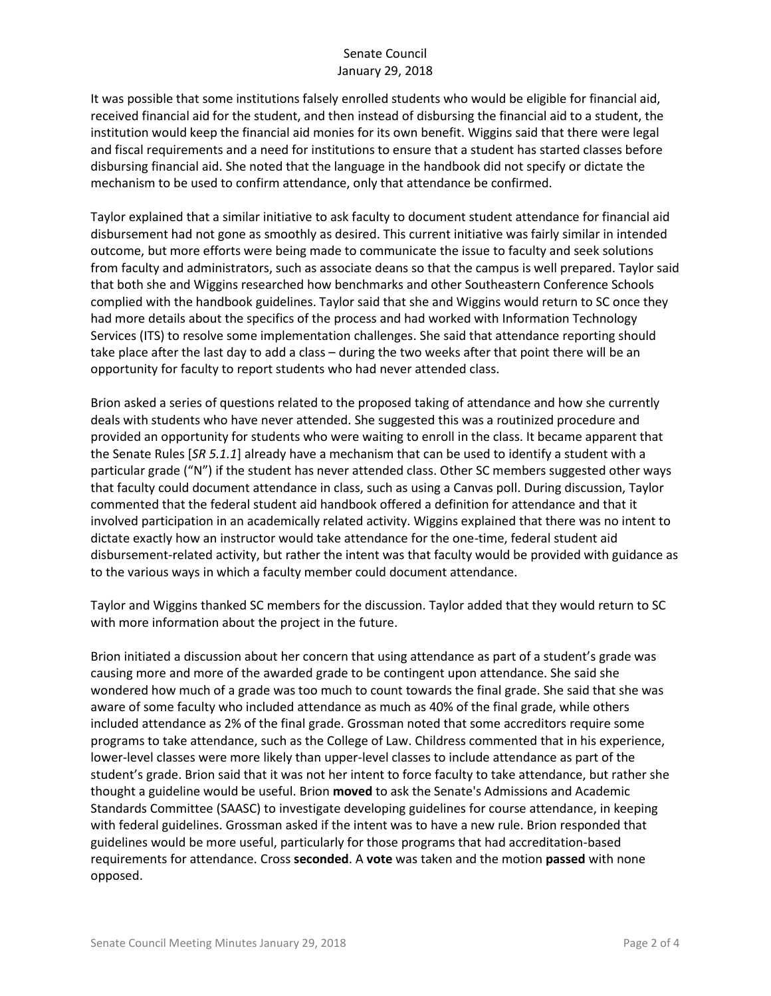It was possible that some institutions falsely enrolled students who would be eligible for financial aid, received financial aid for the student, and then instead of disbursing the financial aid to a student, the institution would keep the financial aid monies for its own benefit. Wiggins said that there were legal and fiscal requirements and a need for institutions to ensure that a student has started classes before disbursing financial aid. She noted that the language in the handbook did not specify or dictate the mechanism to be used to confirm attendance, only that attendance be confirmed.

Taylor explained that a similar initiative to ask faculty to document student attendance for financial aid disbursement had not gone as smoothly as desired. This current initiative was fairly similar in intended outcome, but more efforts were being made to communicate the issue to faculty and seek solutions from faculty and administrators, such as associate deans so that the campus is well prepared. Taylor said that both she and Wiggins researched how benchmarks and other Southeastern Conference Schools complied with the handbook guidelines. Taylor said that she and Wiggins would return to SC once they had more details about the specifics of the process and had worked with Information Technology Services (ITS) to resolve some implementation challenges. She said that attendance reporting should take place after the last day to add a class – during the two weeks after that point there will be an opportunity for faculty to report students who had never attended class.

Brion asked a series of questions related to the proposed taking of attendance and how she currently deals with students who have never attended. She suggested this was a routinized procedure and provided an opportunity for students who were waiting to enroll in the class. It became apparent that the Senate Rules [*SR 5.1.1*] already have a mechanism that can be used to identify a student with a particular grade ("N") if the student has never attended class. Other SC members suggested other ways that faculty could document attendance in class, such as using a Canvas poll. During discussion, Taylor commented that the federal student aid handbook offered a definition for attendance and that it involved participation in an academically related activity. Wiggins explained that there was no intent to dictate exactly how an instructor would take attendance for the one-time, federal student aid disbursement-related activity, but rather the intent was that faculty would be provided with guidance as to the various ways in which a faculty member could document attendance.

Taylor and Wiggins thanked SC members for the discussion. Taylor added that they would return to SC with more information about the project in the future.

Brion initiated a discussion about her concern that using attendance as part of a student's grade was causing more and more of the awarded grade to be contingent upon attendance. She said she wondered how much of a grade was too much to count towards the final grade. She said that she was aware of some faculty who included attendance as much as 40% of the final grade, while others included attendance as 2% of the final grade. Grossman noted that some accreditors require some programs to take attendance, such as the College of Law. Childress commented that in his experience, lower-level classes were more likely than upper-level classes to include attendance as part of the student's grade. Brion said that it was not her intent to force faculty to take attendance, but rather she thought a guideline would be useful. Brion **moved** to ask the Senate's Admissions and Academic Standards Committee (SAASC) to investigate developing guidelines for course attendance, in keeping with federal guidelines. Grossman asked if the intent was to have a new rule. Brion responded that guidelines would be more useful, particularly for those programs that had accreditation-based requirements for attendance. Cross **seconded**. A **vote** was taken and the motion **passed** with none opposed.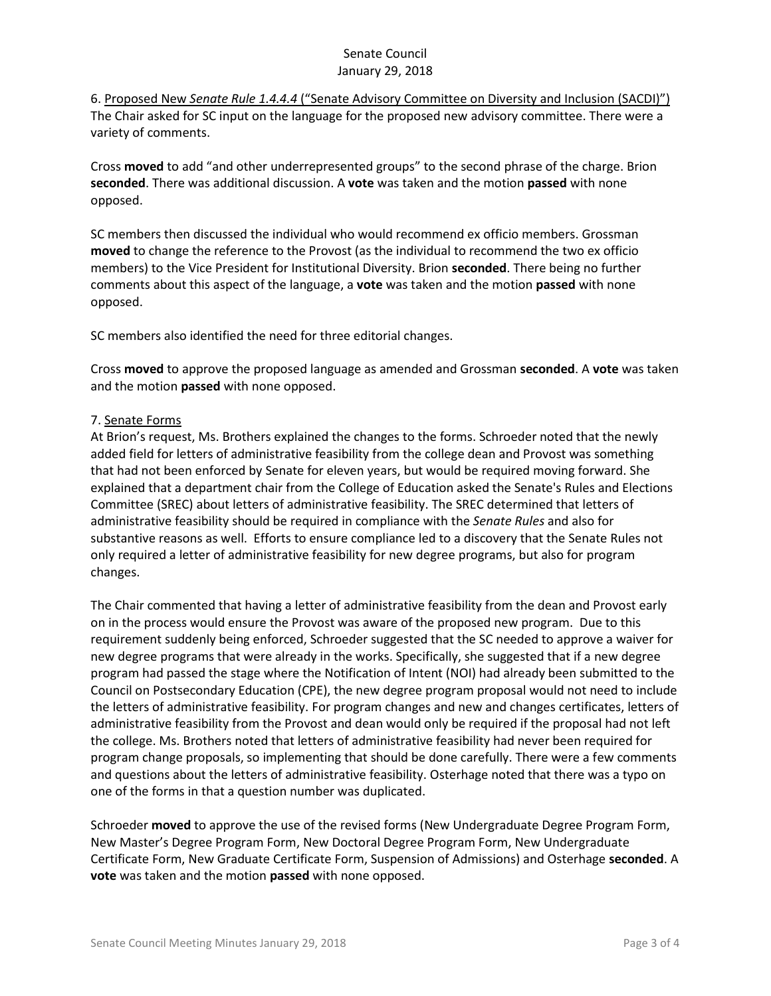6. Proposed New *Senate Rule 1.4.4.4* ("Senate Advisory Committee on Diversity and Inclusion (SACDI)") The Chair asked for SC input on the language for the proposed new advisory committee. There were a variety of comments.

Cross **moved** to add "and other underrepresented groups" to the second phrase of the charge. Brion **seconded**. There was additional discussion. A **vote** was taken and the motion **passed** with none opposed.

SC members then discussed the individual who would recommend ex officio members. Grossman **moved** to change the reference to the Provost (as the individual to recommend the two ex officio members) to the Vice President for Institutional Diversity. Brion **seconded**. There being no further comments about this aspect of the language, a **vote** was taken and the motion **passed** with none opposed.

SC members also identified the need for three editorial changes.

Cross **moved** to approve the proposed language as amended and Grossman **seconded**. A **vote** was taken and the motion **passed** with none opposed.

### 7. Senate Forms

At Brion's request, Ms. Brothers explained the changes to the forms. Schroeder noted that the newly added field for letters of administrative feasibility from the college dean and Provost was something that had not been enforced by Senate for eleven years, but would be required moving forward. She explained that a department chair from the College of Education asked the Senate's Rules and Elections Committee (SREC) about letters of administrative feasibility. The SREC determined that letters of administrative feasibility should be required in compliance with the *Senate Rules* and also for substantive reasons as well. Efforts to ensure compliance led to a discovery that the Senate Rules not only required a letter of administrative feasibility for new degree programs, but also for program changes.

The Chair commented that having a letter of administrative feasibility from the dean and Provost early on in the process would ensure the Provost was aware of the proposed new program. Due to this requirement suddenly being enforced, Schroeder suggested that the SC needed to approve a waiver for new degree programs that were already in the works. Specifically, she suggested that if a new degree program had passed the stage where the Notification of Intent (NOI) had already been submitted to the Council on Postsecondary Education (CPE), the new degree program proposal would not need to include the letters of administrative feasibility. For program changes and new and changes certificates, letters of administrative feasibility from the Provost and dean would only be required if the proposal had not left the college. Ms. Brothers noted that letters of administrative feasibility had never been required for program change proposals, so implementing that should be done carefully. There were a few comments and questions about the letters of administrative feasibility. Osterhage noted that there was a typo on one of the forms in that a question number was duplicated.

Schroeder **moved** to approve the use of the revised forms (New Undergraduate Degree Program Form, New Master's Degree Program Form, New Doctoral Degree Program Form, New Undergraduate Certificate Form, New Graduate Certificate Form, Suspension of Admissions) and Osterhage **seconded**. A **vote** was taken and the motion **passed** with none opposed.